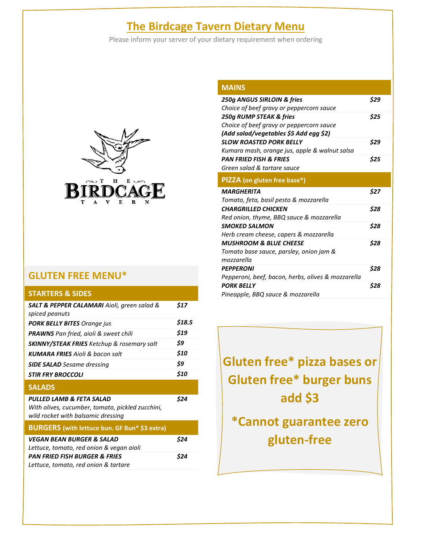## **The Birdcage Tavern Dietary Menu**

Please inform your server of your dietary requirement when ordering



### **GLUTEN FREE MENU\***

#### **STARTERS & SIDES**

| <b>SALT &amp; PEPPER CALAMARI</b> Aioli, green salad &<br>spiced peanuts                                           | \$17   |
|--------------------------------------------------------------------------------------------------------------------|--------|
| <b>PORK BELLY BITES</b> Orange jus                                                                                 | \$18.5 |
| <b>PRAWNS</b> Pan fried, aioli & sweet chili                                                                       | \$19   |
| <b>SKINNY/STEAK FRIES</b> Ketchup & rosemary salt                                                                  | \$9    |
| <b>KUMARA FRIES</b> Aioli & bacon salt                                                                             | \$10   |
| <b>SIDE SALAD</b> Sesame dressing                                                                                  | \$9    |
| <i><b>STIR FRY BROCCOLI</b></i>                                                                                    | \$10   |
| <b>SALADS</b>                                                                                                      |        |
| PULLED LAMB & FETA SALAD<br>With olives, cucumber, tomato, pickled zucchini,<br>wild rocket with balsamic dressing | \$24   |
| BURGERS (with lettuce bun. GF Bun* \$3 extra)                                                                      |        |
| VEGAN BEAN BURGER & SALAD                                                                                          | \$24   |
| Lettuce, tomato, red onion & vegan aioli                                                                           |        |
| <b>PAN FRIED FISH BURGER &amp; FRIES</b>                                                                           | S24    |
| Lettuce, tomato, red onion & tartare                                                                               |        |
|                                                                                                                    |        |

| <b>MAINS</b>                                       |      |
|----------------------------------------------------|------|
| 250g ANGUS SIRLOIN & fries                         | \$29 |
| Choice of beef gravy or peppercorn sauce           |      |
| 250g RUMP STEAK & fries                            | \$25 |
| Choice of beef gravy or peppercorn sauce           |      |
| (Add salad/vegetables \$5 Add egg \$2)             |      |
| <b>SLOW ROASTED PORK BELLY</b>                     | \$29 |
| Kumara mash, orange jus, apple & walnut salsa      |      |
| <b>PAN FRIED FISH &amp; FRIES</b>                  | \$25 |
| Green salad & tartare sauce                        |      |
| <b>PIZZA</b> (on gluten free base*)                |      |
| <b>MARGHERITA</b>                                  | \$27 |
| Tomato, feta, basil pesto & mozzarella             |      |
| <b>CHARGRILLED CHICKEN</b>                         | \$28 |
| Red onion, thyme, BBQ sauce & mozzarella           |      |
| <b>SMOKED SALMON</b>                               | \$28 |
| Herb cream cheese, capers & mozzarella             |      |
| <b>MUSHROOM &amp; BLUE CHEESE</b>                  | \$28 |
| Tomato base sauce, parsley, onion jam &            |      |
|                                                    |      |
| mozzarella                                         |      |
| <b>PEPPERONI</b>                                   | \$28 |
| Pepperoni, beef, bacon, herbs, olives & mozzarella |      |
| <b>PORK BELLY</b>                                  | \$28 |

**Gluten free\* pizza bases or Gluten free\* burger buns add \$3**

**\*Cannot guarantee zero gluten-free**